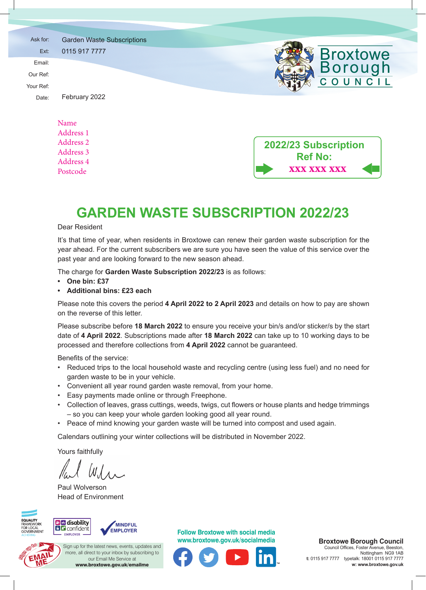| Ask for:  | <b>Garden Waste Subscriptions</b>              |                      |
|-----------|------------------------------------------------|----------------------|
| Ext:      | 0115 917 7777                                  | <b>Broxtowe</b>      |
| Email:    |                                                | <b>Borough</b>       |
| Our Ref:  |                                                |                      |
| Your Ref: |                                                | COUNCIL              |
| Date:     | February 2022                                  |                      |
|           |                                                |                      |
|           | Name                                           |                      |
|           | Address 1                                      |                      |
|           | Address 2                                      | 2022/23 Subscription |
|           | Address 3                                      | <b>Ref No:</b>       |
|           | $\mathbf{A}$ and $\mathbf{A}$ and $\mathbf{A}$ |                      |

## **GARDEN WASTE SUBSCRIPTION 2022/23**

**xxx xxx xxx**

#### Dear Resident

Address 4 Postcode

It's that time of year, when residents in Broxtowe can renew their garden waste subscription for the year ahead. For the current subscribers we are sure you have seen the value of this service over the past year and are looking forward to the new season ahead.

The charge for **Garden Waste Subscription 2022/23** is as follows:

- **• One bin: £37**
- **• Additional bins: £23 each**

Please note this covers the period **4 April 2022 to 2 April 2023** and details on how to pay are shown on the reverse of this letter.

Please subscribe before **18 March 2022** to ensure you receive your bin/s and/or sticker/s by the start date of **4 April 2022**. Subscriptions made after **18 March 2022** can take up to 10 working days to be processed and therefore collections from **4 April 2022** cannot be guaranteed.

Benefits of the service:

- Reduced trips to the local household waste and recycling centre (using less fuel) and no need for garden waste to be in your vehicle.
- Convenient all year round garden waste removal, from your home.
- Easy payments made online or through Freephone.
- Collection of leaves, grass cuttings, weeds, twigs, cut flowers or house plants and hedge trimmings – so you can keep your whole garden looking good all year round.
- Peace of mind knowing your garden waste will be turned into compost and used again.

Calendars outlining your winter collections will be distributed in November 2022.

Yours faithfully

Paul Wolverson Head of Environment







 $\blacksquare$  more, all direct to your inbox by subscribing to  $\blacksquare$ www.broxtowe.gov.uk/emailme our Email Me Service at the Service at the Service at the Service at the Service at the Service at the Service Sign up for the latest news, events, updates and our Email Me Service at

**Follow Broxtowe with social media www.broxtowe.gov.uk/socialmedia**



Broxtowe Borough Council Council Offices, Foster Avenue, Beeston, Nottingham NG9 1AB Nottingham NG9 1AB **t:** 0115 917 7777 typetalk: 18001 0115 917 7777 **t:** 0115 917 7777 w: www.broxtowe.gov.uk